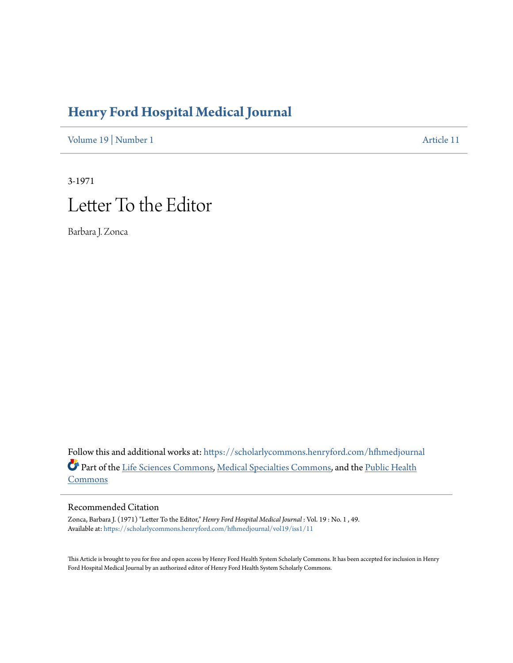## **[Henry Ford Hospital Medical Journal](https://scholarlycommons.henryford.com/hfhmedjournal?utm_source=scholarlycommons.henryford.com%2Fhfhmedjournal%2Fvol19%2Fiss1%2F11&utm_medium=PDF&utm_campaign=PDFCoverPages)**

[Volume 19](https://scholarlycommons.henryford.com/hfhmedjournal/vol19?utm_source=scholarlycommons.henryford.com%2Fhfhmedjournal%2Fvol19%2Fiss1%2F11&utm_medium=PDF&utm_campaign=PDFCoverPages) | [Number 1](https://scholarlycommons.henryford.com/hfhmedjournal/vol19/iss1?utm_source=scholarlycommons.henryford.com%2Fhfhmedjournal%2Fvol19%2Fiss1%2F11&utm_medium=PDF&utm_campaign=PDFCoverPages) [Article 11](https://scholarlycommons.henryford.com/hfhmedjournal/vol19/iss1/11?utm_source=scholarlycommons.henryford.com%2Fhfhmedjournal%2Fvol19%2Fiss1%2F11&utm_medium=PDF&utm_campaign=PDFCoverPages)

## 3-1971 Letter To the Editor

Barbara J. Zonca

Follow this and additional works at: [https://scholarlycommons.henryford.com/hfhmedjournal](https://scholarlycommons.henryford.com/hfhmedjournal?utm_source=scholarlycommons.henryford.com%2Fhfhmedjournal%2Fvol19%2Fiss1%2F11&utm_medium=PDF&utm_campaign=PDFCoverPages) Part of the [Life Sciences Commons](http://network.bepress.com/hgg/discipline/1016?utm_source=scholarlycommons.henryford.com%2Fhfhmedjournal%2Fvol19%2Fiss1%2F11&utm_medium=PDF&utm_campaign=PDFCoverPages), [Medical Specialties Commons](http://network.bepress.com/hgg/discipline/680?utm_source=scholarlycommons.henryford.com%2Fhfhmedjournal%2Fvol19%2Fiss1%2F11&utm_medium=PDF&utm_campaign=PDFCoverPages), and the [Public Health](http://network.bepress.com/hgg/discipline/738?utm_source=scholarlycommons.henryford.com%2Fhfhmedjournal%2Fvol19%2Fiss1%2F11&utm_medium=PDF&utm_campaign=PDFCoverPages) [Commons](http://network.bepress.com/hgg/discipline/738?utm_source=scholarlycommons.henryford.com%2Fhfhmedjournal%2Fvol19%2Fiss1%2F11&utm_medium=PDF&utm_campaign=PDFCoverPages)

## Recommended Citation

Zonca, Barbara J. (1971) "Letter To the Editor," *Henry Ford Hospital Medical Journal* : Vol. 19 : No. 1 , 49. Available at: [https://scholarlycommons.henryford.com/hfhmedjournal/vol19/iss1/11](https://scholarlycommons.henryford.com/hfhmedjournal/vol19/iss1/11?utm_source=scholarlycommons.henryford.com%2Fhfhmedjournal%2Fvol19%2Fiss1%2F11&utm_medium=PDF&utm_campaign=PDFCoverPages)

This Article is brought to you for free and open access by Henry Ford Health System Scholarly Commons. It has been accepted for inclusion in Henry Ford Hospital Medical Journal by an authorized editor of Henry Ford Health System Scholarly Commons.